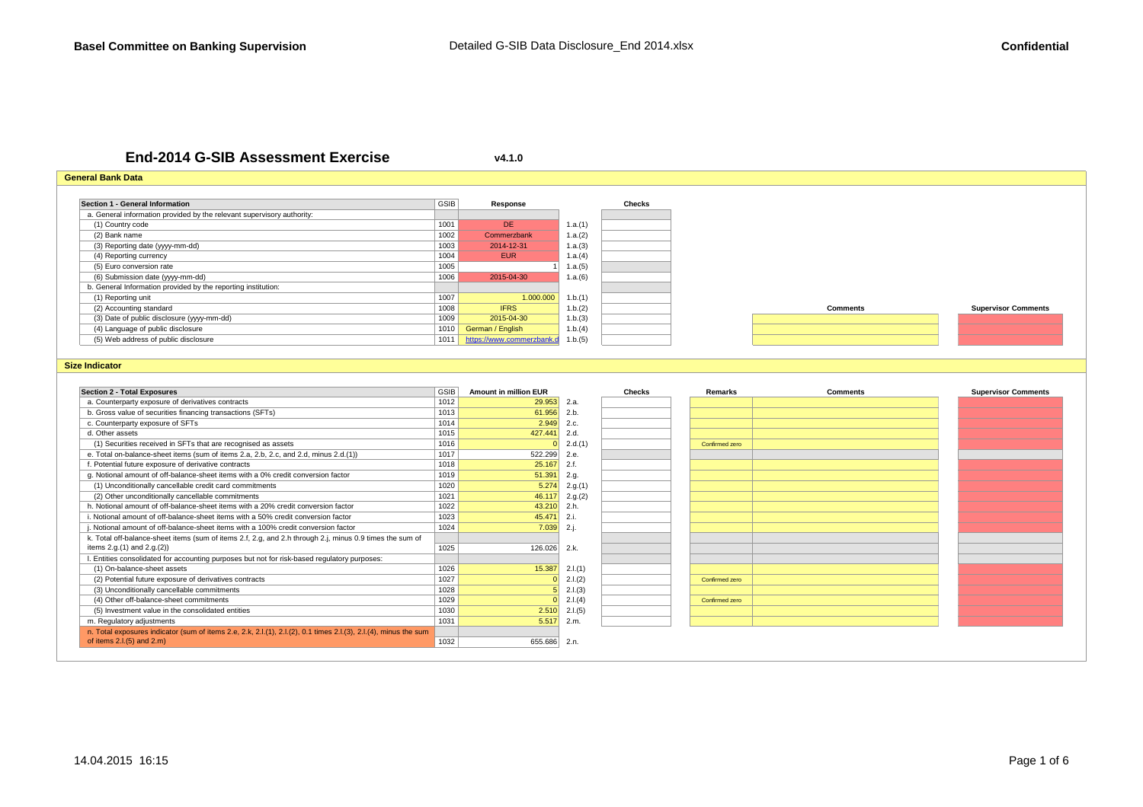**v4.1.0**

s and the contract of the contract of  $\begin{bmatrix} 1028 \end{bmatrix}$  2.1.(3)

<sup>1031</sup> 5.517 2.m.

s <mark>1030 2.510</mark> 2.l.(5)

s and the confirmed zero  $1029$  and the confirmed zero  $\overline{0}$   $2.1(4)$  confirmed zero  $\overline{1}$   $\overline{0}$   $\overline{1}$ 

1032 655.686 2.n.

# **End-2014 G-SIB Assessment Exercise**

#### **General Bank DataSection 1 - General Information**n GSIB **Response Checks** a. General information provided by the relevant supervisory authority:(1) Country codee 1001 DE DE 1.a.(1) (2) Bank name <sup>1002</sup> Commerzbank 1.a.(2) (3) Reporting date (yyyy-mm-dd)) and the contract of the contract of  $1003$  and  $2014$ -12-31 and  $1. a. (3)$ (4) Reporting currency <sup>1004</sup> EUR 1.a.(4) (5) Euro conversion ratee 1 1.a.(5) (6) Submission date (yyyy-mm-dd) <sup>1006</sup> 2015-04-30 1.a.(6) b. General Information provided by the reporting institution:(1) Reporting unitt the contract of the contract of the contract of the contract of the contract of the contract of the contract of the contract of the contract of the contract of the contract of the contract of the contract of the contract  $1.b.(2)$ (2) Accounting standard <sup>1008</sup> IFRS 1.b.(2) **Comments Supervisor Comments**(3) Date of public disclosure (yyyy-mm-dd)) <mark>1009 | 2015-04-30</mark> <mark>|</mark> 1.b.(3) (4) Language of public disclosure <sup>1010</sup> German / English 1.b.(4) (5) Web address of public disclosureerzhauptnavigation/aktionaere 1.011 <mark>https://www.commerzbank.d</mark>eft.b.(5) /informationalere 1.ben.html and transparenzangaben.html and transparenzangaben.html and transparenzangaben.html and transparenzangaben.html and tran **Size IndicatorSection 2 - Total Exposures** GSIB **Amount in million EUR Checks Remarks Comments Supervisor Comments** a. Counterparty exposure of derivatives contractss <mark>1012 |</mark> <mark>29.953</mark> 2.a. b. Gross value of securities financing transactions (SFTs) <sup>1013</sup> 61.956 2.b. c. Counterparty exposure of SFTss and the contract of the contract of  $1014$  and  $2.949$   $2.0$ d. Other assets <sup>1015</sup> 427.441 2.d. (1) Securities received in SFTs that are recognised as assetss <mark>0</mark> 2.d.(1) <mark>Confirmed zero</mark> e. Total on-balance-sheet items (sum of items 2.a, 2.b, 2.c, and 2.d, minus 2.d.(1)) 1017 522.299 2.e. f. Potential future exposure of derivative contractss 1018 1018 25.167 2.f. g. Notional amount of off-balance-sheet items with a 0% credit conversion factor **1019** 51.391 2.g.<br>
(1) Unconditionally cancellable credit card commitments 5000 55.274 2.g. (1) Unconditionally cancellable credit card commitments1020 5.274 2.g.(1)<br>1021 46.117 2.g.(2) (2) Other unconditionally cancellable commitments  $46.117$  2.g.(2) h. Notional amount of off-balance-sheet items with a 20% credit conversion factor 1022 43.210 43.210 2.h. i. Notional amount of off-balance-sheet items with a 50% credit conversion factor  $\frac{1023}{1024}$   $\frac{45.471}{7.039}$  2.i. j. Notional amount of off-balance-sheet items with a 100% credit conversion factor 1025 126.026 2.k. l. Entities consolidated for accounting purposes but not for risk-based regulatory purposes:(1) On-balance-sheet assetss <mark>1026 15.387</mark> 2.l.(1) (2) Potential future exposure of derivatives contracts <sup>1027</sup> <sup>0</sup> 2.l.(2) Confirmed zero k. Total off-balance-sheet items (sum of items 2.f, 2.g, and 2.h through 2.j, minus 0.9 times the sum of items 2.g.(1) and 2.g.(2))

(3) Unconditionally cancellable commitments

(5) Investment value in the consolidated entities

n. Total exposures indicator (sum of items 2.e, 2.k, 2.l.(1), 2.l.(2), 0.1 times 2.l.(3), 2.l.(4), minus the sum

(4) Other off-balance-sheet commitments

m. Regulatory adjustments

of items  $2.1(5)$  and  $2.m$ )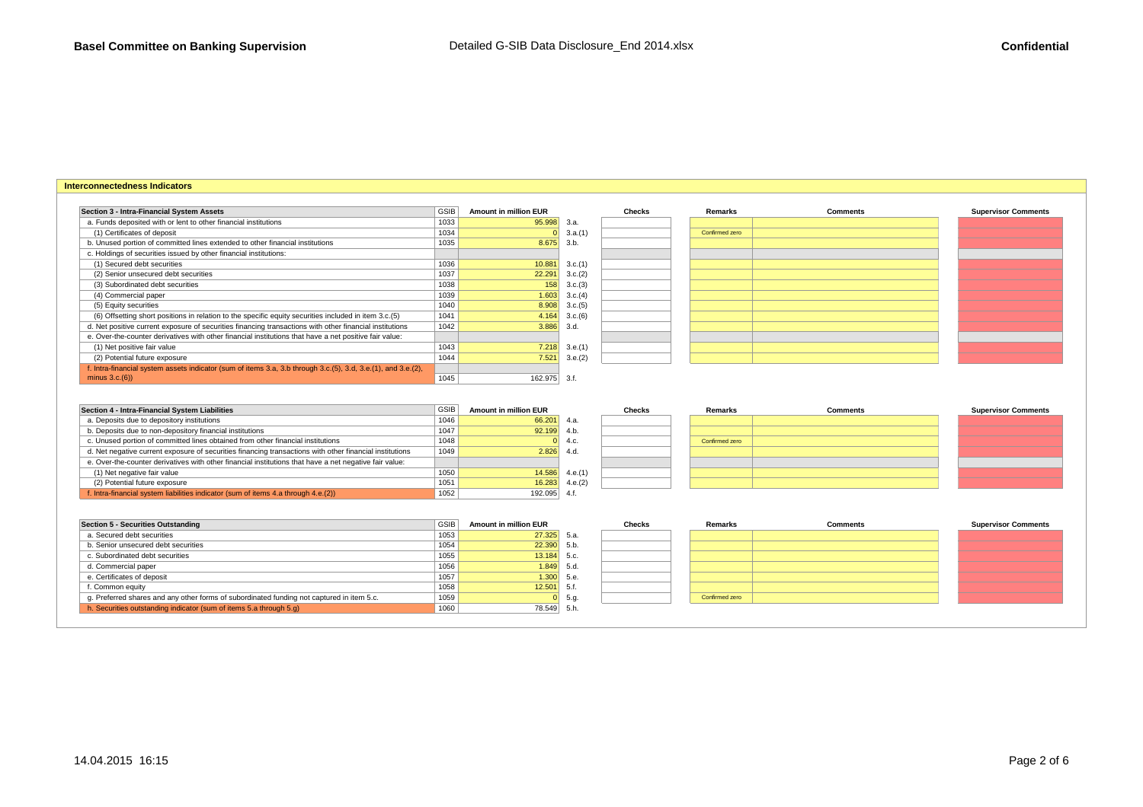### **Interconnectedness Indicators**

(1) Net negative fair value

(2) Potential future exposure

f. Intra-financial system liabilities indicator (sum of items 4.a through 4.e.(2))

| Section 3 - Intra-Financial System Assets                                                                     | GSIB | <b>Amount in million EUR</b> |              | <b>Checks</b> | Remarks        | <b>Comments</b> | <b>Supervisor Comments</b> |
|---------------------------------------------------------------------------------------------------------------|------|------------------------------|--------------|---------------|----------------|-----------------|----------------------------|
| a. Funds deposited with or lent to other financial institutions                                               | 1033 | 95.998 3.a.                  |              |               |                |                 |                            |
| (1) Certificates of deposit                                                                                   | 1034 |                              | 3.a.(1)      |               | Confirmed zero |                 |                            |
| b. Unused portion of committed lines extended to other financial institutions                                 | 1035 | 8.675                        | 3.b.         |               |                |                 |                            |
| c. Holdings of securities issued by other financial institutions:                                             |      |                              |              |               |                |                 |                            |
| (1) Secured debt securities                                                                                   | 1036 | 10.881                       | 3.c.(1)      |               |                |                 |                            |
| (2) Senior unsecured debt securities                                                                          | 1037 | 22.291                       | 3.c.(2)      |               |                |                 |                            |
| (3) Subordinated debt securities                                                                              | 1038 | 158                          | 3.c.(3)      |               |                |                 |                            |
| (4) Commercial paper                                                                                          | 1039 | 1.603                        | 3.c.(4)      |               |                |                 |                            |
| (5) Equity securities                                                                                         | 1040 | 8.908                        | 3.c.(5)      |               |                |                 |                            |
| (6) Offsetting short positions in relation to the specific equity securities included in item 3.c.(5)         | 1041 | 4.164                        | 3.c.(6)      |               |                |                 |                            |
| d. Net positive current exposure of securities financing transactions with other financial institutions       | 1042 | 3.886                        | 3.d.         |               |                |                 |                            |
| e. Over-the-counter derivatives with other financial institutions that have a net positive fair value:        |      |                              |              |               |                |                 |                            |
| (1) Net positive fair value                                                                                   | 1043 | 7.218                        | 3.e.(1)      |               |                |                 |                            |
| (2) Potential future exposure                                                                                 | 1044 | 7.521                        | 3.e.(2)      |               |                |                 |                            |
| f. Intra-financial system assets indicator (sum of items 3.a, 3.b through 3.c.(5), 3.d, 3.e.(1), and 3.e.(2), |      |                              |              |               |                |                 |                            |
| minus $3.c.(6)$                                                                                               | 1045 | 162.975 3.f.                 |              |               |                |                 |                            |
| Section 4 - Intra-Financial System Liabilities                                                                | GSIB | <b>Amount in million EUR</b> |              | <b>Checks</b> | Remarks        | <b>Comments</b> | <b>Supervisor Comments</b> |
|                                                                                                               | 1046 |                              |              |               |                |                 |                            |
| a. Deposits due to depository institutions                                                                    |      | 66.201                       | 4.a.<br>4.h. |               |                |                 |                            |
| b. Deposits due to non-depository financial institutions                                                      | 1047 | 92.199                       |              |               |                |                 |                            |
| c. Unused portion of committed lines obtained from other financial institutions                               | 1048 |                              | 4.c.         |               | Confirmed zero |                 |                            |
| d. Net negative current exposure of securities financing transactions with other financial institutions       | 1049 | 2.826                        | 4.d.         |               |                |                 |                            |
| e. Over-the-counter derivatives with other financial institutions that have a net negative fair value:        |      |                              |              |               |                |                 |                            |

1050 1051 14.586 4.e.(1)<br>1051 1051 16.283 4.e.(2)

1051 16.283 4.e.(2)<br>1052 192.095 4.f.

| Section 5 - Securities Outstanding                                                        | <b>GSIB</b> | <b>Amount in million EUR</b> |      | <b>Checks</b> | Remarks        |
|-------------------------------------------------------------------------------------------|-------------|------------------------------|------|---------------|----------------|
| a. Secured debt securities                                                                | 1053        | $27.325$ 5.a.                |      |               |                |
| b. Senior unsecured debt securities                                                       | 1054        | $22.390$ 5.b.                |      |               |                |
| c. Subordinated debt securities                                                           | 1055        | $13.184$ 5.c.                |      |               |                |
| d. Commercial paper                                                                       | 1056        | $1.849$ 5.d.                 |      |               |                |
| e. Certificates of deposit                                                                | 1057        | $1.300 $ 5.e.                |      |               |                |
| f. Common equity                                                                          | 1058        | 12.501                       | 5.f. |               |                |
| g. Preferred shares and any other forms of subordinated funding not captured in item 5.c. | 1059        | $\overline{0}$               | 5.q. |               | Confirmed zero |
| h. Securities outstanding indicator (sum of items 5.a through 5.g)                        | 1060        | 78.549 5.h.                  |      |               |                |

| $\overline{\mathsf{B}}$ | <b>Amount in million EUR</b> |      | Checks | Remarks        | <b>Comments</b> | <b>Supervisor Comments</b> |
|-------------------------|------------------------------|------|--------|----------------|-----------------|----------------------------|
|                         | $27.325$ 5.a.                |      |        |                |                 |                            |
|                         | $22.390$ 5.b.                |      |        |                |                 |                            |
| ີ                       | $13.184$ 5.c.                |      |        |                |                 |                            |
|                         | $1.849$ 5.d.                 |      |        |                |                 |                            |
|                         | $1.300$ 5.e.                 |      |        |                |                 |                            |
| 8.                      | 12.501                       | 5.f. |        |                |                 |                            |
|                         | $\Omega$                     | 5.g. |        | Confirmed zero |                 |                            |
|                         | 78.549                       | 5.h. |        |                |                 |                            |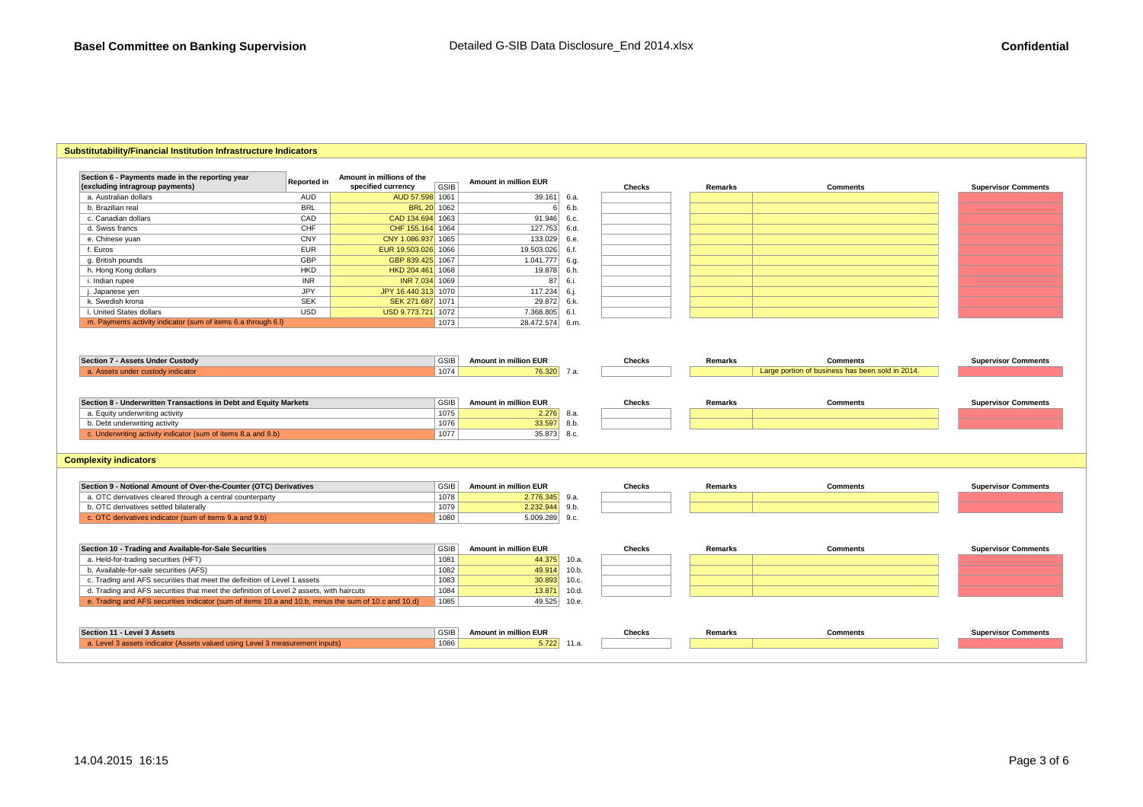# **Substitutability/Financial Institution Infrastructure Indicators**

| Section 6 - Payments made in the reporting year<br>(excluding intragroup payments) | Reported in | Amount in millions of the<br>specified currency | <b>GSIB</b>         | <b>Amount in million EUR</b>         |      | <b>Checks</b> | Remarks | <b>Comments</b>                                                     | <b>Supervisor Comments</b> |
|------------------------------------------------------------------------------------|-------------|-------------------------------------------------|---------------------|--------------------------------------|------|---------------|---------|---------------------------------------------------------------------|----------------------------|
| a. Australian dollars                                                              | <b>AUD</b>  | AUD 57.598 1061                                 |                     | $39.161$ 6.a.                        |      |               |         |                                                                     |                            |
| b. Brazilian real                                                                  | <b>BRL</b>  | <b>BRL 20 1062</b>                              |                     |                                      | 6.b. |               |         |                                                                     |                            |
| c. Canadian dollars                                                                | CAD         | CAD 134,694 1063                                |                     | 91.946                               | 6.c. |               |         |                                                                     |                            |
| d. Swiss francs                                                                    | CHF         | CHF 155.164 1064                                |                     | 127.753                              | 6.d. |               |         |                                                                     |                            |
| e. Chinese yuan                                                                    | <b>CNY</b>  | CNY 1.086.937 1065                              |                     | 133.029                              | 6.e. |               |         |                                                                     |                            |
| f. Euros                                                                           | <b>EUR</b>  | EUR 19.503.026 1066                             |                     | 19.503.026                           | 6.f  |               |         |                                                                     |                            |
| g. British pounds                                                                  | GBP         | GBP 839.425 1067                                |                     | 1.041.777                            | 6.q. |               |         |                                                                     |                            |
| h. Hong Kong dollars                                                               | <b>HKD</b>  | HKD 204.461 1068                                |                     | 19.878                               | 6.h. |               |         |                                                                     |                            |
| i. Indian rupee                                                                    | <b>INR</b>  | INR 7.034 1069                                  |                     | 87                                   | 6.i. |               |         |                                                                     |                            |
| . Japanese yen                                                                     | <b>JPY</b>  | JPY 16.440.313 1070                             |                     | 117.234                              | 6.i. |               |         |                                                                     |                            |
| k. Swedish krona                                                                   | <b>SEK</b>  | SEK 271.687 1071                                |                     | 29.872                               | 6.k. |               |         |                                                                     |                            |
| I. United States dollars                                                           | <b>USD</b>  | USD 9.773.721 1072                              |                     | 7.368.805                            | 6.I. |               |         |                                                                     |                            |
| m. Payments activity indicator (sum of items 6.a through 6.I)                      |             |                                                 | 1073                | 28.472.574 6.m.                      |      |               |         |                                                                     |                            |
| Section 7 - Assets Under Custody<br>a. Assets under custody indicator              |             |                                                 | <b>GSIB</b><br>1074 | Amount in million EUR<br>76.320 7.a. |      | <b>Checks</b> | Remarks | <b>Comments</b><br>Large portion of business has been sold in 2014. | <b>Supervisor Comments</b> |
| Section 8 - Underwritten Transactions in Debt and Equity Markets                   |             |                                                 | <b>GSIB</b>         | <b>Amount in million EUR</b>         |      | <b>Checks</b> | Remarks | <b>Comments</b>                                                     | <b>Supervisor Comments</b> |
|                                                                                    |             |                                                 |                     |                                      | 8.a. |               |         |                                                                     |                            |
| a. Equity underwriting activity                                                    |             |                                                 | 1075                | 2.276                                |      |               |         |                                                                     |                            |
| b. Debt underwriting activity                                                      |             |                                                 | 1076                | 33.597                               | 8.b. |               |         |                                                                     |                            |

# **Complexity indicators**

| Section 9 - Notional Amount of Over-the-Counter (OTC) Derivatives | GSIB | <b>Amount in million EUR</b> | Checks | Remarks | <b>Comments</b> | <b>Supervisor Comments</b> |
|-------------------------------------------------------------------|------|------------------------------|--------|---------|-----------------|----------------------------|
| a. OTC derivatives cleared through a central counterparty         | 1078 | 2.776.345                    |        |         |                 |                            |
| b. OTC derivatives settled bilaterally                            | 1079 | 2.232.944                    |        |         |                 |                            |
| OTC derivatives indicator (sum of items 9.a and 9.b)              | 1080 | 1.009.289 9.c.               |        |         |                 |                            |

| Section 10 - Trading and Available-for-Sale Securities                                               | <b>GSIE</b> | <b>Amount in million EUR</b> |               | Checks | Remarks | <b>Comments</b> | <b>Supervisor Comments</b> |
|------------------------------------------------------------------------------------------------------|-------------|------------------------------|---------------|--------|---------|-----------------|----------------------------|
| a. Held-for-trading securities (HFT)                                                                 | 1081        | 44.375 10.a.                 |               |        |         |                 |                            |
| b. Available-for-sale securities (AFS)                                                               | 1082        | 49.914 10.b.                 |               |        |         |                 |                            |
| c. Trading and AFS securities that meet the definition of Level 1 assets                             | 1083        | $30.893$ 10.c.               |               |        |         |                 |                            |
| d. Trading and AFS securities that meet the definition of Level 2 assets, with haircuts              | 1084        | 13,871                       | 10.d.         |        |         |                 |                            |
| e. Trading and AFS securities indicator (sum of items 10.a and 10.b, minus the sum of 10.c and 10.d) | 1085        | 49.525 10.e.                 |               |        |         |                 |                            |
|                                                                                                      |             |                              |               |        |         |                 |                            |
| Section 11 - Level 3 Assets                                                                          | GSIB        | <b>Amount in million EUR</b> |               | Checks | Remarks | <b>Comments</b> | <b>Supervisor Comments</b> |
| a. Level 3 assets indicator (Assets valued using Level 3 measurement inputs)                         | 1086        |                              | $5.722$ 11.a. |        |         |                 |                            |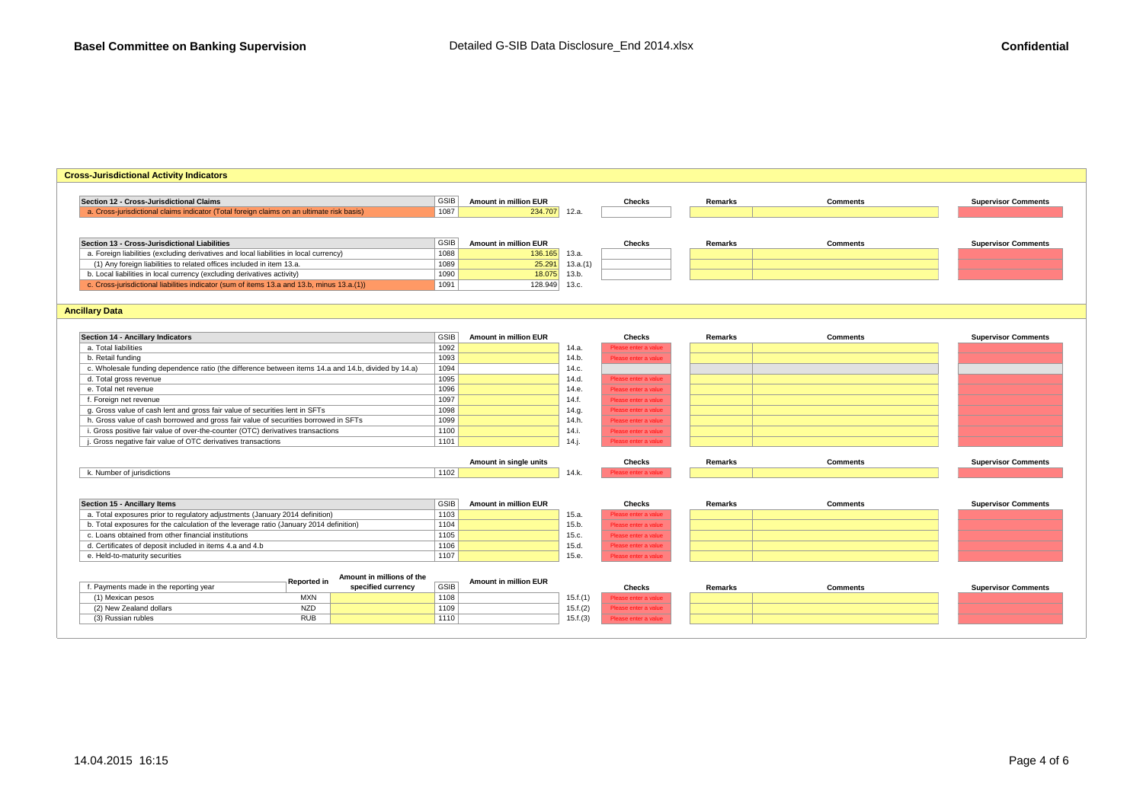# **Cross-Jurisdictional Activity Indicators**

| Section 12 - Cross-Jurisdictional Claims                                                            | <b>GSIB</b>         | <b>Amount in million EUR</b> |                   | <b>Checks</b>        | Remarks        | <b>Comments</b> | <b>Supervisor Comments</b> |
|-----------------------------------------------------------------------------------------------------|---------------------|------------------------------|-------------------|----------------------|----------------|-----------------|----------------------------|
| a. Cross-jurisdictional claims indicator (Total foreign claims on an ultimate risk basis)           | 1087                | 234.707                      | 12.a.             |                      |                |                 |                            |
|                                                                                                     |                     |                              |                   |                      |                |                 |                            |
| Section 13 - Cross-Jurisdictional Liabilities                                                       | <b>GSIB</b>         | <b>Amount in million EUR</b> |                   | <b>Checks</b>        | Remarks        | <b>Comments</b> | <b>Supervisor Comments</b> |
| a. Foreign liabilities (excluding derivatives and local liabilities in local currency)              | 1088                | 136.165                      | 13.a.             |                      |                |                 |                            |
| (1) Any foreign liabilities to related offices included in item 13.a.                               | 1089                | 25.291                       | 13.a.(1)          |                      |                |                 |                            |
| b. Local liabilities in local currency (excluding derivatives activity)                             | 1090                | 18.075                       | 13.b.             |                      |                |                 |                            |
| c. Cross-jurisdictional liabilities indicator (sum of items 13.a and 13.b, minus 13.a.(1))          | 1091                | 128.949                      | 13.c.             |                      |                |                 |                            |
|                                                                                                     |                     |                              |                   |                      |                |                 |                            |
| <b>Ancillary Data</b>                                                                               |                     |                              |                   |                      |                |                 |                            |
|                                                                                                     |                     |                              |                   |                      |                |                 |                            |
| Section 14 - Ancillary Indicators                                                                   | <b>GSIB</b><br>1092 | Amount in million EUR        |                   | <b>Checks</b>        | Remarks        | <b>Comments</b> | <b>Supervisor Comments</b> |
| a. Total liabilities                                                                                |                     |                              | 14.a.<br>14.b.    | Please enter a value |                |                 |                            |
| b. Retail funding                                                                                   | 1093                |                              |                   | Please enter a value |                |                 |                            |
| c. Wholesale funding dependence ratio (the difference between items 14.a and 14.b, divided by 14.a) | 1094                |                              | 14.c.<br>14.d.    |                      |                |                 |                            |
| d. Total gross revenue                                                                              | 1095<br>1096        |                              |                   | Please enter a value |                |                 |                            |
| e. Total net revenue                                                                                |                     |                              | 14.e.             | Please enter a value |                |                 |                            |
| f. Foreign net revenue                                                                              | 1097                |                              | 14.f.             | Please enter a value |                |                 |                            |
| g. Gross value of cash lent and gross fair value of securities lent in SFTs                         | 1098<br>1099        |                              | 14.q.<br>14.h.    | Please enter a value |                |                 |                            |
| h. Gross value of cash borrowed and gross fair value of securities borrowed in SFTs                 |                     |                              |                   | Please enter a value |                |                 |                            |
| i. Gross positive fair value of over-the-counter (OTC) derivatives transactions                     | 1100                |                              | 14.i.<br>$14.$ j. | Please enter a value |                |                 |                            |
| . Gross negative fair value of OTC derivatives transactions                                         | 1101                |                              |                   | Please enter a valu  |                |                 |                            |
|                                                                                                     |                     | Amount in single units       |                   | <b>Checks</b>        | Remarks        | <b>Comments</b> | <b>Supervisor Comments</b> |
| k. Number of jurisdictions                                                                          | 1102                |                              | 14.k.             | Please enter a value |                |                 |                            |
|                                                                                                     |                     |                              |                   |                      |                |                 |                            |
|                                                                                                     |                     |                              |                   |                      |                |                 |                            |
| Section 15 - Ancillary Items                                                                        | <b>GSIB</b>         | <b>Amount in million EUR</b> |                   | <b>Checks</b>        | Remarks        | <b>Comments</b> | <b>Supervisor Comments</b> |
| a. Total exposures prior to regulatory adjustments (January 2014 definition)                        | 1103                |                              | 15.a.             | Please enter a value |                |                 |                            |
| b. Total exposures for the calculation of the leverage ratio (January 2014 definition)              | 1104                |                              | 15.b.             | Please enter a value |                |                 |                            |
| c. Loans obtained from other financial institutions                                                 | 1105<br>1106        |                              | 15.c.             | Please enter a value |                |                 |                            |
| d. Certificates of deposit included in items 4.a and 4.b                                            |                     |                              | 15.d.             | Please enter a value |                |                 |                            |
| e. Held-to-maturity securities                                                                      | 1107                |                              | 15.e.             | Please enter a value |                |                 |                            |
| Amount in millions of the                                                                           |                     |                              |                   |                      |                |                 |                            |
| Reported in<br>specified currency<br>f. Payments made in the reporting year                         | GSIB                | Amount in million EUR        |                   | <b>Checks</b>        | <b>Remarks</b> | <b>Comments</b> | <b>Supervisor Comments</b> |
| <b>MXN</b><br>(1) Mexican pesos                                                                     | 1108                |                              | 15.f.(1)          | Please enter a value |                |                 |                            |
| <b>NZD</b><br>(2) New Zealand dollars                                                               | 1109                |                              | 15.f.(2)          | Please enter a value |                |                 |                            |
| <b>RUB</b><br>(3) Russian rubles                                                                    | 1110                |                              | 15.f.(3)          | Please enter a value |                |                 |                            |
|                                                                                                     |                     |                              |                   |                      |                |                 |                            |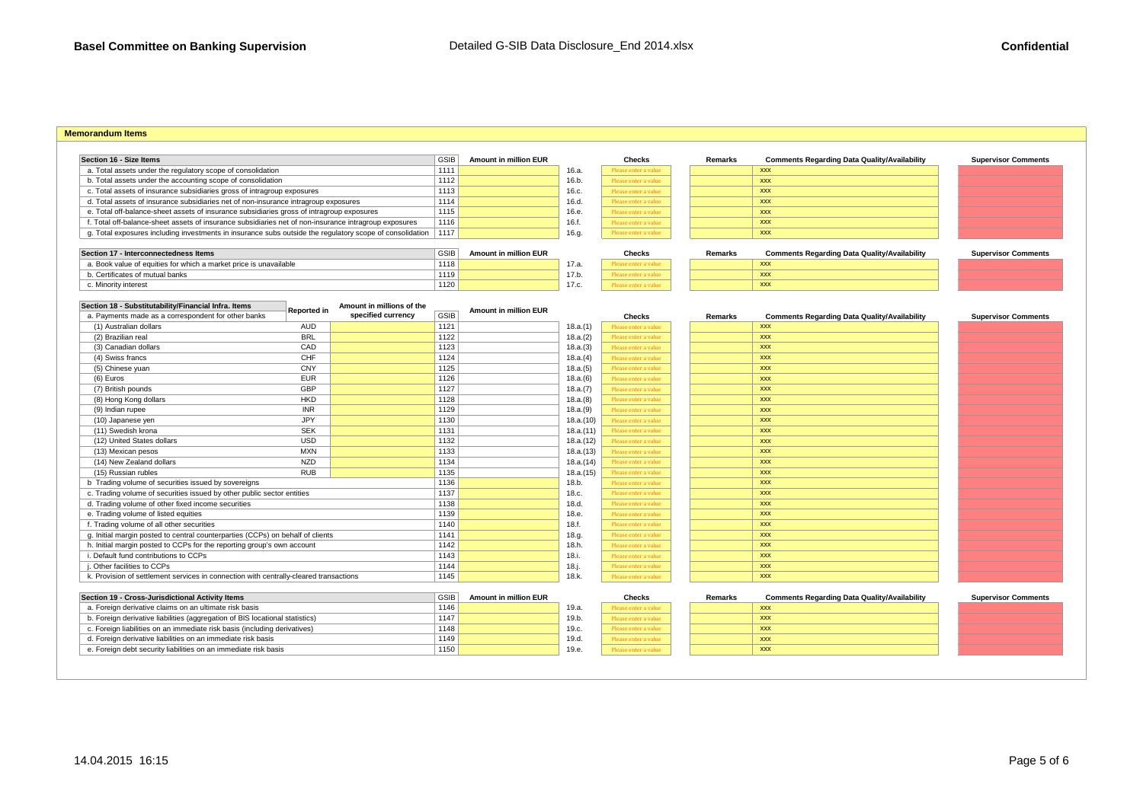#### **Memorandum Items**

| Section 16 - Size Items                                                                                  | <b>GSIB</b> | <b>Amount in million EUR</b> |       | <b>Checks</b>        | Remarks | С          |
|----------------------------------------------------------------------------------------------------------|-------------|------------------------------|-------|----------------------|---------|------------|
| a. Total assets under the regulatory scope of consolidation                                              | 1111        |                              | 16.a. | Please enter a value |         | XXX        |
| b. Total assets under the accounting scope of consolidation                                              | 1112        |                              | 16.b. | Please enter a value |         | <b>XXX</b> |
| c. Total assets of insurance subsidiaries gross of intragroup exposures                                  | 1113        |                              | 16.c. | Please enter a value |         | XXX        |
| d. Total assets of insurance subsidiaries net of non-insurance intragroup exposures                      | 1114        |                              | 16.d. | Please enter a value |         | XXX        |
| e. Total off-balance-sheet assets of insurance subsidiaries gross of intragroup exposures                | 1115        |                              | 16.e. | Please enter a value |         | XXX        |
| f. Total off-balance-sheet assets of insurance subsidiaries net of non-insurance intragroup exposures    | 1116        |                              | 16.f. | Please enter a value |         | XXX        |
| g. Total exposures including investments in insurance subs outside the regulatory scope of consolidation | 1117        |                              | 16.g. | Please enter a value |         | XXX        |
|                                                                                                          |             |                              |       |                      |         |            |
| Section 17 - Interconnectedness Items                                                                    | <b>GSIB</b> | <b>Amount in million EUR</b> |       | <b>Checks</b>        | Remarks | c          |
| a. Book value of equities for which a market price is unavailable                                        | 1118        |                              | 17.a. | Please enter a value |         | XXX        |
| b. Certificates of mutual banks                                                                          | 1119        |                              | 17.b. | Please enter a value |         | XXX        |
| c. Minority interest                                                                                     | 1120        |                              | 17.c. | Please enter a value |         | XXX        |

| в. | <b>Amount in million EUR</b> |       | <b>Checks</b>        | Remarks | <b>Comments Regarding Data Quality/Availability</b> | <b>Supervisor Comments</b> |
|----|------------------------------|-------|----------------------|---------|-----------------------------------------------------|----------------------------|
|    |                              | 16.a. | Please enter a value |         | <b>XXX</b>                                          |                            |
|    |                              | 16.b. | Please enter a value |         | <b>XXX</b>                                          |                            |
|    |                              | 16.c. | Please enter a value |         | <b>XXX</b>                                          |                            |
|    |                              | 16.d. | Please enter a value |         | <b>XXX</b>                                          |                            |
|    |                              | 16.e. | Please enter a value |         | <b>XXX</b>                                          |                            |
|    |                              | 16.f. | Please enter a value |         | <b>XXX</b>                                          |                            |
|    |                              | 16.g. | Please enter a value |         | <b>XXX</b>                                          |                            |

| onnectedness Items                               | GSIB | <b>Amount in million EUR</b> |       | Checks               | Remarks |            |
|--------------------------------------------------|------|------------------------------|-------|----------------------|---------|------------|
| equities for which a market price is unavailable | 1118 |                              | 17.a  | Please enter a value |         | <b>XXX</b> |
| nutual banks                                     | 1119 |                              | 17.b. | Please enter a value |         | <b>XXX</b> |
|                                                  | 1120 |                              | 17.C. | Please enter a value |         | <b>XXX</b> |
|                                                  |      |                              |       |                      |         |            |

| <b>Amount in million EUR</b> |       | Checks                 | Remarks | <b>Comments Regarding Data Quality/Availability</b> | <b>Supervisor Comments</b> |
|------------------------------|-------|------------------------|---------|-----------------------------------------------------|----------------------------|
|                              | 17.a. | Please enter a value : |         | <b>XXX</b>                                          |                            |
|                              | 17.b. | dease enter a value    |         | <b>XXX</b>                                          |                            |
|                              | 17.c. | lease enter a value :  |         | <b>XXX</b>                                          |                            |

| Section 18 - Substitutability/Financial Infra. Items                                  | <b>Reported in</b> | Amount in millions of the |             | <b>Amount in million EUR</b> |           |                      |         |                                                     |                            |
|---------------------------------------------------------------------------------------|--------------------|---------------------------|-------------|------------------------------|-----------|----------------------|---------|-----------------------------------------------------|----------------------------|
| a. Payments made as a correspondent for other banks                                   |                    | specified currency        | <b>GSIB</b> |                              |           | <b>Checks</b>        | Remarks | <b>Comments Regarding Data Quality/Availability</b> | <b>Supervisor Comments</b> |
| (1) Australian dollars                                                                | <b>AUD</b>         |                           | 1121        |                              | 18.a.(1)  | Please enter a value |         | <b>XXX</b>                                          |                            |
| (2) Brazilian real                                                                    | <b>BRL</b>         |                           | 1122        |                              | 18.a.(2)  | Please enter a value |         | <b>XXX</b>                                          |                            |
| (3) Canadian dollars                                                                  | CAD                |                           | 1123        |                              | 18.a.(3)  | Please enter a value |         | <b>XXX</b>                                          |                            |
| (4) Swiss francs                                                                      | CHF                |                           | 1124        |                              | 18.a.(4)  | Please enter a value |         | <b>XXX</b>                                          |                            |
| (5) Chinese yuan                                                                      | CNY                |                           | 1125        |                              | 18.a.(5)  | Please enter a value |         | <b>XXX</b>                                          |                            |
| (6) Euros                                                                             | <b>EUR</b>         |                           | 1126        |                              | 18.a.(6)  | Please enter a value |         | <b>XXX</b>                                          |                            |
| (7) British pounds                                                                    | <b>GBP</b>         |                           | 1127        |                              | 18.a.(7)  | Please enter a value |         | <b>XXX</b>                                          |                            |
| (8) Hong Kong dollars                                                                 | <b>HKD</b>         |                           | 1128        |                              | 18.a.(8)  | Please enter a value |         | <b>XXX</b>                                          |                            |
| (9) Indian rupee                                                                      | <b>INR</b>         |                           | 1129        |                              | 18.a.(9)  | Please enter a value |         | <b>XXX</b>                                          |                            |
| (10) Japanese yen                                                                     | <b>JPY</b>         |                           | 1130        |                              | 18.a.(10) | Please enter a value |         | <b>XXX</b>                                          |                            |
| (11) Swedish krona                                                                    | <b>SEK</b>         |                           | 1131        |                              | 18.a.(11) | Please enter a value |         | <b>XXX</b>                                          |                            |
| (12) United States dollars                                                            | <b>USD</b>         |                           | 1132        |                              | 18.a.(12) | Please enter a value |         | <b>XXX</b>                                          |                            |
| (13) Mexican pesos                                                                    | <b>MXN</b>         |                           | 1133        |                              | 18.a.(13) | Please enter a value |         | <b>XXX</b>                                          |                            |
| (14) New Zealand dollars                                                              | <b>NZD</b>         |                           | 1134        |                              | 18.a.(14) | Please enter a value |         | <b>XXX</b>                                          |                            |
| (15) Russian rubles                                                                   | <b>RUB</b>         |                           | 1135        |                              | 18.a.(15) | Please enter a value |         | <b>XXX</b>                                          |                            |
| b Trading volume of securities issued by sovereigns                                   |                    |                           | 1136        |                              | 18.b.     | Please enter a value |         | <b>XXX</b>                                          |                            |
| c. Trading volume of securities issued by other public sector entities                |                    |                           | 1137        |                              | 18.c.     | Please enter a value |         | <b>XXX</b>                                          |                            |
| d. Trading volume of other fixed income securities                                    |                    |                           | 1138        |                              | 18.d.     | Please enter a value |         | <b>XXX</b>                                          |                            |
| e. Trading volume of listed equities                                                  |                    |                           | 1139        |                              | 18.e.     | Please enter a value |         | <b>XXX</b>                                          |                            |
| f. Trading volume of all other securities                                             |                    |                           | 1140        |                              | 18.f.     | Please enter a value |         | <b>XXX</b>                                          |                            |
| g. Initial margin posted to central counterparties (CCPs) on behalf of clients        |                    |                           | 1141        |                              | 18.q.     | Please enter a value |         | <b>XXX</b>                                          |                            |
| h. Initial margin posted to CCPs for the reporting group's own account                |                    |                           | 1142        |                              | 18.h.     | Please enter a value |         | <b>XXX</b>                                          |                            |
| i. Default fund contributions to CCPs                                                 |                    |                           | 1143        |                              | 18.i.     | Please enter a value |         | <b>XXX</b>                                          |                            |
| . Other facilities to CCPs                                                            |                    |                           | 1144        |                              | 18.j.     | Please enter a value |         | <b>XXX</b>                                          |                            |
| k. Provision of settlement services in connection with centrally-cleared transactions |                    |                           | 1145        |                              | 18.k.     | Please enter a value |         | <b>XXX</b>                                          |                            |
|                                                                                       |                    |                           |             |                              |           |                      |         |                                                     |                            |
| Section 19 - Cross-Jurisdictional Activity Items                                      |                    |                           | <b>GSIB</b> | <b>Amount in million EUR</b> |           | <b>Checks</b>        | Remarks | <b>Comments Regarding Data Quality/Availability</b> | <b>Supervisor Comments</b> |
| a. Foreign derivative claims on an ultimate risk basis                                |                    |                           | 1146        |                              | 19.a.     | Please enter a value |         | <b>XXX</b>                                          |                            |
| b. Foreign derivative liabilities (aggregation of BIS locational statistics)          |                    |                           | 1147        |                              | 19.b.     | Please enter a value |         | <b>XXX</b>                                          |                            |
| c. Foreign liabilities on an immediate risk basis (including derivatives)             |                    |                           | 1148        |                              | 19.c.     | Please enter a value |         | <b>XXX</b>                                          |                            |
| d. Foreign derivative liabilities on an immediate risk basis                          |                    |                           | 1149        |                              | 19.d.     | Please enter a value |         | <b>XXX</b>                                          |                            |

 $1150$  1150  $19.9$ . Please enter a value  $\frac{1}{2}$   $\frac{1}{2}$   $\frac{1}{2}$   $\frac{1}{2}$   $\frac{1}{2}$   $\frac{1}{2}$   $\frac{1}{2}$   $\frac{1}{2}$   $\frac{1}{2}$   $\frac{1}{2}$   $\frac{1}{2}$   $\frac{1}{2}$   $\frac{1}{2}$   $\frac{1}{2}$   $\frac{1}{2}$   $\frac{1}{2}$   $\frac{1}{2}$   $\frac{1}{2}$ 

e. Foreign debt security liabilities on an immediate risk basis